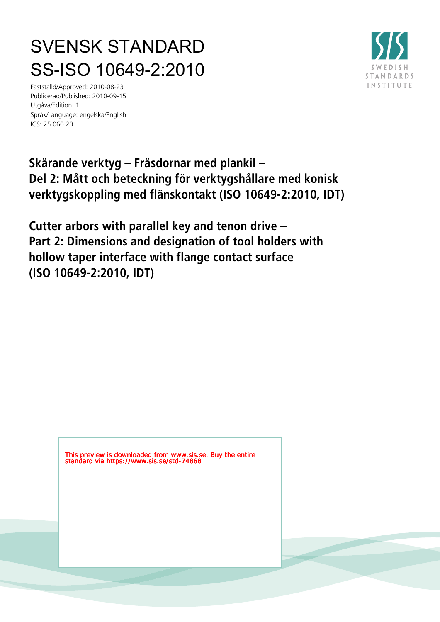# SVENSK STANDARD SS-ISO 10649-2:2010

Fastställd/Approved: 2010-08-23 Publicerad/Published: 2010-09-15 Utgåva/Edition: 1 Språk/Language: engelska/English ICS: 25.060.20



**Skärande verktyg – Fräsdornar med plankil – Del 2: Mått och beteckning för verktygshållare med konisk verktygskoppling med flänskontakt (ISO 10649-2:2010, IDT)**

**Cutter arbors with parallel key and tenon drive – Part 2: Dimensions and designation of tool holders with hollow taper interface with flange contact surface (ISO 10649-2:2010, IDT)**

> This preview is downloaded from www.sis.se. Buy the entire standard via https://www.sis.se/std-74868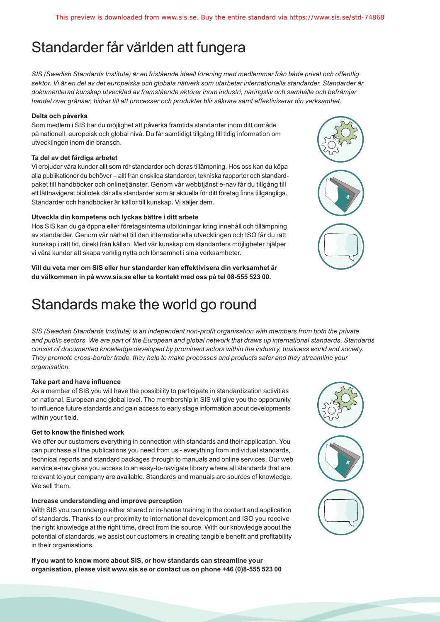## Standarder får världen att fungera

*SIS (Swedish Standards Institute) är en fristående ideell förening med medlemmar från både privat och offentlig sektor. Vi är en del av det europeiska och globala nätverk som utarbetar internationella standarder. Standarder är dokumenterad kunskap utvecklad av framstående aktörer inom industri, näringsliv och samhälle och befrämjar handel över gränser, bidrar till att processer och produkter blir säkrare samt effektiviserar din verksamhet.* 

#### **Delta och påverka**

Som medlem i SIS har du möjlighet att påverka framtida standarder inom ditt område på nationell, europeisk och global nivå. Du får samtidigt tillgång till tidig information om utvecklingen inom din bransch.

## **Ta del av det färdiga arbetet**

Vi erbjuder våra kunder allt som rör standarder och deras tillämpning. Hos oss kan du köpa alla publikationer du behöver – allt från enskilda standarder, tekniska rapporter och standardpaket till handböcker och onlinetjänster. Genom vår webbtjänst e-nav får du tillgång till ett lättnavigerat bibliotek där alla standarder som är aktuella för ditt företag finns tillgängliga. Standarder och handböcker är källor till kunskap. Vi säljer dem.

#### **Utveckla din kompetens och lyckas bättre i ditt arbete**

Hos SIS kan du gå öppna eller företagsinterna utbildningar kring innehåll och tillämpning av standarder. Genom vår närhet till den internationella utvecklingen och ISO får du rätt kunskap i rätt tid, direkt från källan. Med vår kunskap om standarders möjligheter hjälper vi våra kunder att skapa verklig nytta och lönsamhet i sina verksamheter.

**Vill du veta mer om SIS eller hur standarder kan effektivisera din verksamhet är du välkommen in på www.sis.se eller ta kontakt med oss på tel 08-555 523 00.**

## Standards make the world go round

*SIS (Swedish Standards Institute) is an independent non-profit organisation with members from both the private and public sectors. We are part of the European and global network that draws up international standards. Standards consist of documented knowledge developed by prominent actors within the industry, business world and society. They promote cross-border trade, they help to make processes and products safer and they streamline your organisation.*

### **Take part and have influence**

As a member of SIS you will have the possibility to participate in standardization activities on national, European and global level. The membership in SIS will give you the opportunity to influence future standards and gain access to early stage information about developments within your field.

### **Get to know the finished work**

We offer our customers everything in connection with standards and their application. You can purchase all the publications you need from us - everything from individual standards, technical reports and standard packages through to manuals and online services. Our web service e-nav gives you access to an easy-to-navigate library where all standards that are relevant to your company are available. Standards and manuals are sources of knowledge. We sell them.

#### **Increase understanding and improve perception**

With SIS you can undergo either shared or in-house training in the content and application of standards. Thanks to our proximity to international development and ISO you receive the right knowledge at the right time, direct from the source. With our knowledge about the potential of standards, we assist our customers in creating tangible benefit and profitability in their organisations.

**If you want to know more about SIS, or how standards can streamline your organisation, please visit www.sis.se or contact us on phone +46 (0)8-555 523 00**



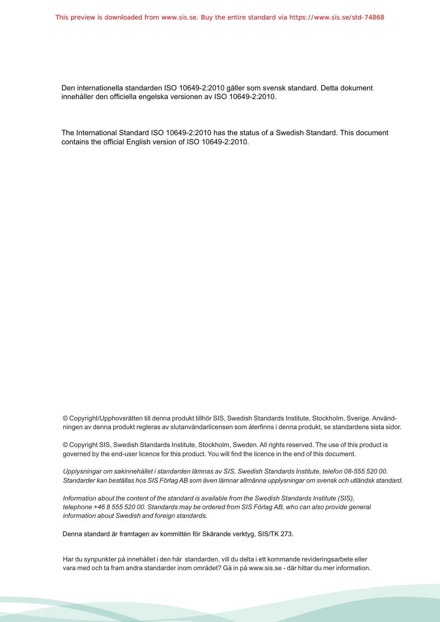Den internationella standarden ISO 10649-2:2010 gäller som svensk standard. Detta dokument innehåller den officiella engelska versionen av ISO 10649-2:2010.

The International Standard ISO 10649-2:2010 has the status of a Swedish Standard. This document contains the official English version of ISO 10649-2:2010.

© Copyright/Upphovsrätten till denna produkt tillhör SIS, Swedish Standards Institute, Stockholm, Sverige. Användningen av denna produkt regleras av slutanvändarlicensen som återfinns i denna produkt, se standardens sista sidor.

© Copyright SIS, Swedish Standards Institute, Stockholm, Sweden. All rights reserved. The use of this product is governed by the end-user licence for this product. You will find the licence in the end of this document.

*Upplysningar om sakinnehållet i standarden lämnas av SIS, Swedish Standards Institute, telefon 08-555 520 00. Standarder kan beställas hos SIS FörlagAB som även lämnar allmänna upplysningar om svensk och utländsk standard.*

*Information about the content of the standard is available from the Swedish Standards Institute (SIS), telephone +46 8 555 520 00. Standards may be ordered from SIS Förlag AB, who can also provide general information about Swedish and foreign standards.*

Denna standard är framtagen av kommittén för Skärande verktyg, SIS/TK 273.

Har du synpunkter på innehållet i den här standarden, vill du delta i ett kommande revideringsarbete eller vara med och ta fram andra standarder inom området? Gå in på www.sis.se - där hittar du mer information.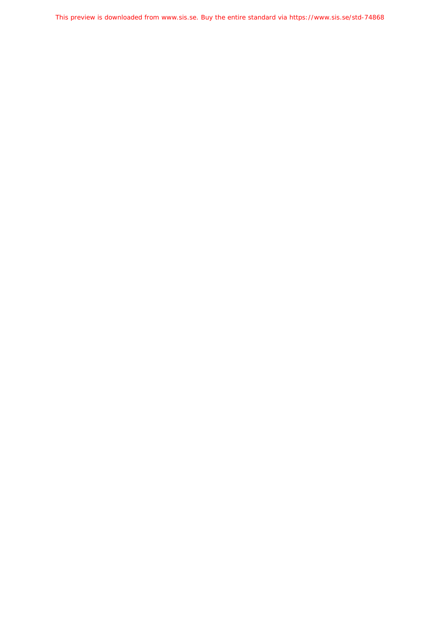This preview is downloaded from www.sis.se. Buy the entire standard via https://www.sis.se/std-74868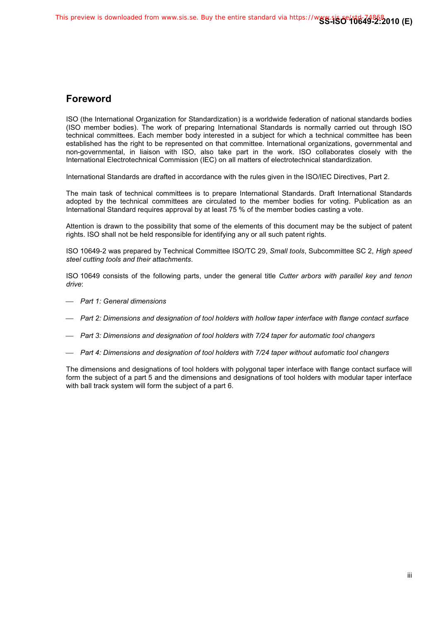**ISO 10649-2:2010(E)**

## **Foreword**

ISO (the International Organization for Standardization) is a worldwide federation of national standards bodies (ISO member bodies). The work of preparing International Standards is normally carried out through ISO technical committees. Each member body interested in a subject for which a technical committee has been established has the right to be represented on that committee. International organizations, governmental and non-governmental, in liaison with ISO, also take part in the work. ISO collaborates closely with the International Electrotechnical Commission (IEC) on all matters of electrotechnical standardization.

International Standards are drafted in accordance with the rules given in the ISO/IEC Directives, Part 2.

The main task of technical committees is to prepare International Standards. Draft International Standards adopted by the technical committees are circulated to the member bodies for voting. Publication as an International Standard requires approval by at least 75 % of the member bodies casting a vote.

Attention is drawn to the possibility that some of the elements of this document may be the subject of patent rights. ISO shall not be held responsible for identifying any or all such patent rights.

ISO 10649-2 was prepared by Technical Committee ISO/TC 29, *Small tools*, Subcommittee SC 2, *High speed steel cutting tools and their attachments*.

ISO 10649 consists of the following parts, under the general title *Cutter arbors with parallel key and tenon drive*:

- ⎯ *Part 1: General dimensions*
- ⎯ *Part 2: Dimensions and designation of tool holders with hollow taper interface with flange contact surface*
- ⎯ *Part 3: Dimensions and designation of tool holders with 7/24 taper for automatic tool changers*
- ⎯ *Part 4: Dimensions and designation of tool holders with 7/24 taper without automatic tool changers*

The dimensions and designations of tool holders with polygonal taper interface with flange contact surface will form the subject of a part 5 and the dimensions and designations of tool holders with modular taper interface with ball track system will form the subject of a part 6.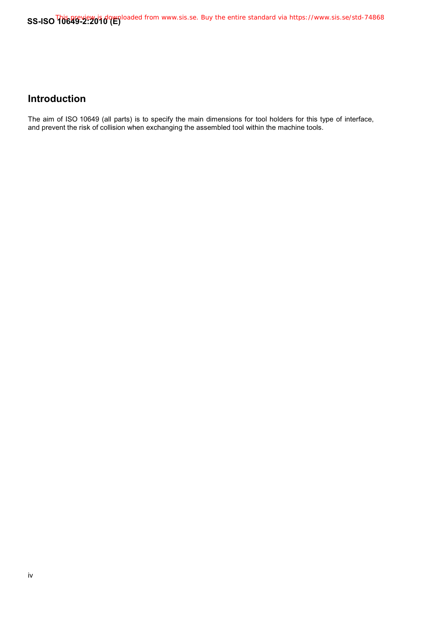## **Introduction**

The aim of ISO 10649 (all parts) is to specify the main dimensions for tool holders for this type of interface, and prevent the risk of collision when exchanging the assembled tool within the machine tools.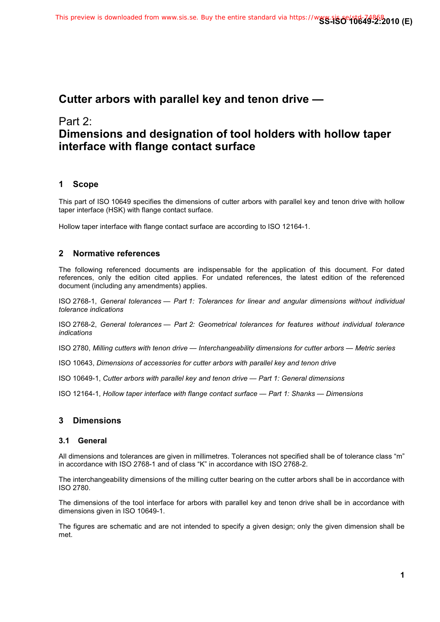## **Cutter arbors with parallel key and tenon drive —**

## Part 2:

## **Dimensions and designation of tool holders with hollow taper interface with flange contact surface**

## **1 Scope**

This part of ISO 10649 specifies the dimensions of cutter arbors with parallel key and tenon drive with hollow taper interface (HSK) with flange contact surface.

Hollow taper interface with flange contact surface are according to ISO 12164-1.

## **2 Normative references**

The following referenced documents are indispensable for the application of this document. For dated references, only the edition cited applies. For undated references, the latest edition of the referenced document (including any amendments) applies.

ISO 2768-1, *General tolerances — Part 1: Tolerances for linear and angular dimensions without individual tolerance indications*

ISO 2768-2, *General tolerances — Part 2: Geometrical tolerances for features without individual tolerance indications*

ISO 2780, *Milling cutters with tenon drive — Interchangeability dimensions for cutter arbors — Metric series*

ISO 10643, *Dimensions of accessories for cutter arbors with parallel key and tenon drive*

ISO 10649-1, *Cutter arbors with parallel key and tenon drive — Part 1: General dimensions*

ISO 12164-1, *Hollow taper interface with flange contact surface — Part 1: Shanks — Dimensions*

## **3 Dimensions**

## **3.1 General**

All dimensions and tolerances are given in millimetres. Tolerances not specified shall be of tolerance class "m" in accordance with ISO 2768-1 and of class "K" in accordance with ISO 2768-2.

The interchangeability dimensions of the milling cutter bearing on the cutter arbors shall be in accordance with ISO 2780.

The dimensions of the tool interface for arbors with parallel key and tenon drive shall be in accordance with dimensions given in ISO 10649-1.

The figures are schematic and are not intended to specify a given design; only the given dimension shall be met.